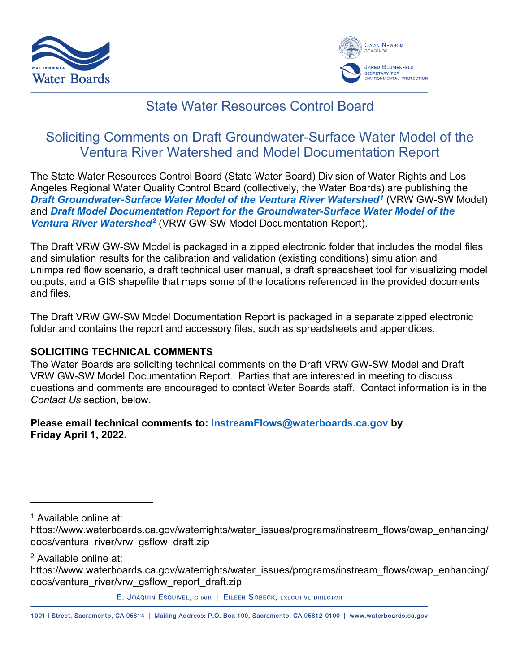



## State Water Resources Control Board

# Soliciting Comments on Draft Groundwater-Surface Water Model of the Ventura River Watershed and Model Documentation Report

The State Water Resources Control Board (State Water Board) Division of Water Rights and Los Angeles Regional Water Quality Control Board (collectively, the Water Boards) are publishing the *Draft [Groundwater-Surface Water Model of the Ventura River Watershed1](https://www.waterboards.ca.gov/waterrights/water_issues/programs/instream_flows/cwap_enhancing/docs/ventura_river/vrw_gsflow_draft.zip)* (VRW GW-SW Model) and *Draft Model Documentation Report [for the Groundwater-Surface Water Model of the](https://www.waterboards.ca.gov/waterrights/water_issues/programs/instream_flows/cwap_enhancing/docs/ventura_river/vrw_gsflow_report_draft.zip)  [Ventura River Watershed2](https://www.waterboards.ca.gov/waterrights/water_issues/programs/instream_flows/cwap_enhancing/docs/ventura_river/vrw_gsflow_report_draft.zip)* (VRW GW-SW Model Documentation Report).

The Draft VRW GW-SW Model is packaged in a zipped electronic folder that includes the model files and simulation results for the calibration and validation (existing conditions) simulation and unimpaired flow scenario, a draft technical user manual, a draft spreadsheet tool for visualizing model outputs, and a GIS shapefile that maps some of the locations referenced in the provided documents and files.

The Draft VRW GW-SW Model Documentation Report is packaged in a separate zipped electronic folder and contains the report and accessory files, such as spreadsheets and appendices.

### **SOLICITING TECHNICAL COMMENTS**

The Water Boards are soliciting technical comments on the Draft VRW GW-SW Model and Draft VRW GW-SW Model Documentation Report. Parties that are interested in meeting to discuss questions and comments are encouraged to contact Water Boards staff. Contact information is in the *Contact Us* section, below.

**Please email technical comments to: [InstreamFlows@waterboards.ca.gov](mailto:InstreamFlows@waterboards.ca.gov) by Friday April 1, 2022.** 

<span id="page-0-0"></span><sup>1</sup> Available online at:

<span id="page-0-1"></span><sup>2</sup> Available online at:

1001 | Street, Sacramento, CA 95814 | Mailing Address: P.O. Box 100, Sacramento, CA 95812-0100 | www.waterboards.ca.gov

https://www.waterboards.ca.gov/waterrights/water\_issues/programs/instream\_flows/cwap\_enhancing/ docs/ventura\_river/vrw\_gsflow\_draft.zip

https://www.waterboards.ca.gov/waterrights/water\_issues/programs/instream\_flows/cwap\_enhancing/ docs/ventura\_river/vrw\_gsflow\_report\_draft.zip

E. JOAQUIN ESQUIVEL, CHAIR | EILEEN SOBECK, EXECUTIVE DIRECTOR